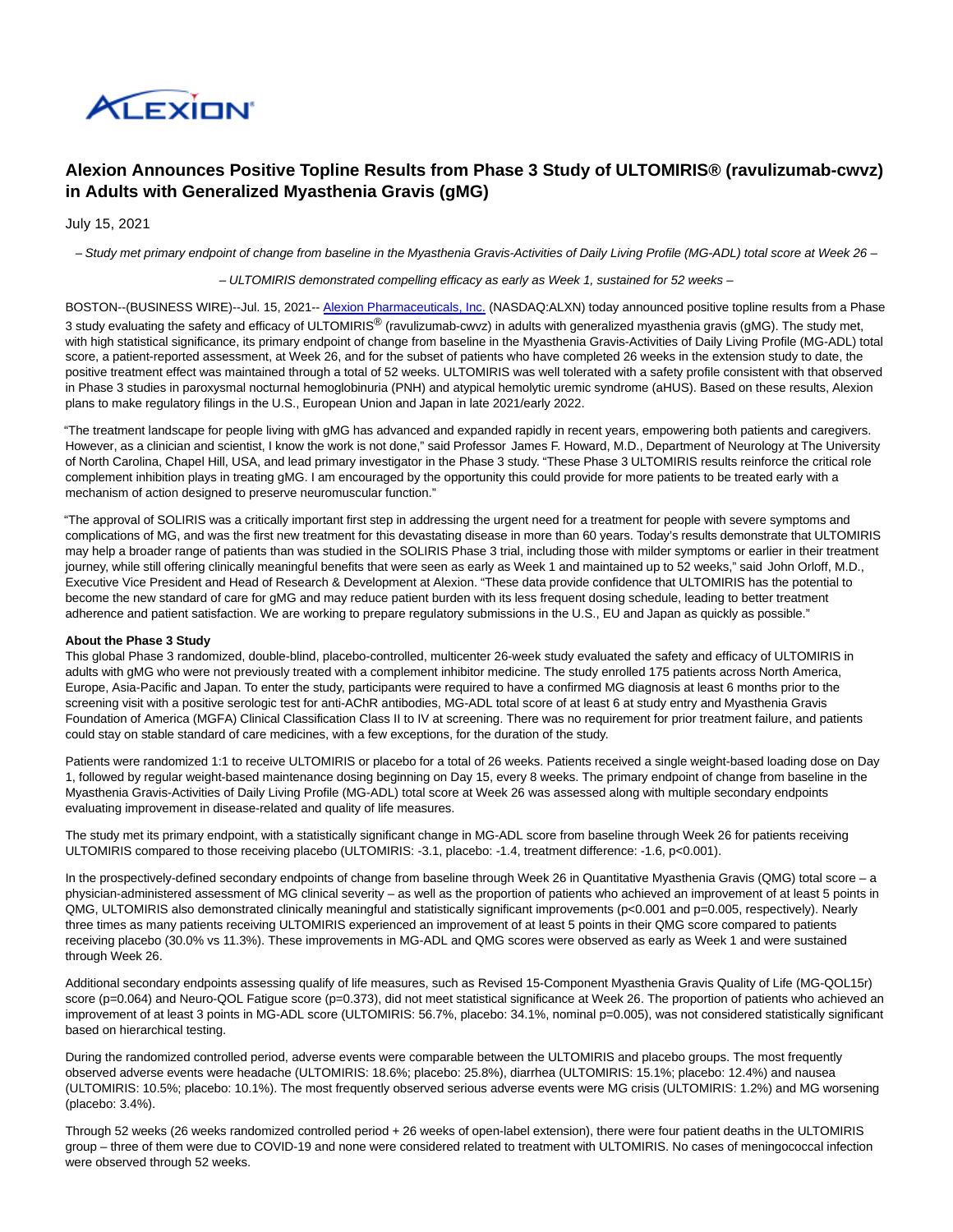

# **Alexion Announces Positive Topline Results from Phase 3 Study of ULTOMIRIS® (ravulizumab-cwvz) in Adults with Generalized Myasthenia Gravis (gMG)**

July 15, 2021

– Study met primary endpoint of change from baseline in the Myasthenia Gravis-Activities of Daily Living Profile (MG-ADL) total score at Week 26 –

– ULTOMIRIS demonstrated compelling efficacy as early as Week 1, sustained for 52 weeks –

BOSTON--(BUSINESS WIRE)--Jul. 15, 2021-- [Alexion Pharmaceuticals, Inc. \(](https://cts.businesswire.com/ct/CT?id=smartlink&url=http%3A%2F%2Fwww.Alexion.com&esheet=52461027&newsitemid=20210715006015&lan=en-US&anchor=Alexion+Pharmaceuticals%2C+Inc.&index=1&md5=3449c854e1c82b71ff596adb6865b001)NASDAQ:ALXN) today announced positive topline results from a Phase 3 study evaluating the safety and efficacy of ULTOMIRIS<sup>®</sup> (ravulizumab-cwvz) in adults with generalized myasthenia gravis (gMG). The study met, with high statistical significance, its primary endpoint of change from baseline in the Myasthenia Gravis-Activities of Daily Living Profile (MG-ADL) total score, a patient-reported assessment, at Week 26, and for the subset of patients who have completed 26 weeks in the extension study to date, the positive treatment effect was maintained through a total of 52 weeks. ULTOMIRIS was well tolerated with a safety profile consistent with that observed in Phase 3 studies in paroxysmal nocturnal hemoglobinuria (PNH) and atypical hemolytic uremic syndrome (aHUS). Based on these results, Alexion plans to make regulatory filings in the U.S., European Union and Japan in late 2021/early 2022.

"The treatment landscape for people living with gMG has advanced and expanded rapidly in recent years, empowering both patients and caregivers. However, as a clinician and scientist, I know the work is not done," said Professor James F. Howard, M.D., Department of Neurology at The University of North Carolina, Chapel Hill, USA, and lead primary investigator in the Phase 3 study. "These Phase 3 ULTOMIRIS results reinforce the critical role complement inhibition plays in treating gMG. I am encouraged by the opportunity this could provide for more patients to be treated early with a mechanism of action designed to preserve neuromuscular function."

"The approval of SOLIRIS was a critically important first step in addressing the urgent need for a treatment for people with severe symptoms and complications of MG, and was the first new treatment for this devastating disease in more than 60 years. Today's results demonstrate that ULTOMIRIS may help a broader range of patients than was studied in the SOLIRIS Phase 3 trial, including those with milder symptoms or earlier in their treatment journey, while still offering clinically meaningful benefits that were seen as early as Week 1 and maintained up to 52 weeks," said John Orloff, M.D., Executive Vice President and Head of Research & Development at Alexion. "These data provide confidence that ULTOMIRIS has the potential to become the new standard of care for gMG and may reduce patient burden with its less frequent dosing schedule, leading to better treatment adherence and patient satisfaction. We are working to prepare regulatory submissions in the U.S., EU and Japan as quickly as possible."

## **About the Phase 3 Study**

This global Phase 3 randomized, double-blind, placebo-controlled, multicenter 26-week study evaluated the safety and efficacy of ULTOMIRIS in adults with gMG who were not previously treated with a complement inhibitor medicine. The study enrolled 175 patients across North America, Europe, Asia-Pacific and Japan. To enter the study, participants were required to have a confirmed MG diagnosis at least 6 months prior to the screening visit with a positive serologic test for anti-AChR antibodies, MG-ADL total score of at least 6 at study entry and Myasthenia Gravis Foundation of America (MGFA) Clinical Classification Class II to IV at screening. There was no requirement for prior treatment failure, and patients could stay on stable standard of care medicines, with a few exceptions, for the duration of the study.

Patients were randomized 1:1 to receive ULTOMIRIS or placebo for a total of 26 weeks. Patients received a single weight-based loading dose on Day 1, followed by regular weight-based maintenance dosing beginning on Day 15, every 8 weeks. The primary endpoint of change from baseline in the Myasthenia Gravis-Activities of Daily Living Profile (MG-ADL) total score at Week 26 was assessed along with multiple secondary endpoints evaluating improvement in disease-related and quality of life measures.

The study met its primary endpoint, with a statistically significant change in MG-ADL score from baseline through Week 26 for patients receiving ULTOMIRIS compared to those receiving placebo (ULTOMIRIS: -3.1, placebo: -1.4, treatment difference: -1.6, p<0.001).

In the prospectively-defined secondary endpoints of change from baseline through Week 26 in Quantitative Myasthenia Gravis (QMG) total score – a physician-administered assessment of MG clinical severity – as well as the proportion of patients who achieved an improvement of at least 5 points in QMG, ULTOMIRIS also demonstrated clinically meaningful and statistically significant improvements (p<0.001 and p=0.005, respectively). Nearly three times as many patients receiving ULTOMIRIS experienced an improvement of at least 5 points in their QMG score compared to patients receiving placebo (30.0% vs 11.3%). These improvements in MG-ADL and QMG scores were observed as early as Week 1 and were sustained through Week 26.

Additional secondary endpoints assessing qualify of life measures, such as Revised 15-Component Myasthenia Gravis Quality of Life (MG-QOL15r) score (p=0.064) and Neuro-QOL Fatigue score (p=0.373), did not meet statistical significance at Week 26. The proportion of patients who achieved an improvement of at least 3 points in MG-ADL score (ULTOMIRIS: 56.7%, placebo: 34.1%, nominal p=0.005), was not considered statistically significant based on hierarchical testing.

During the randomized controlled period, adverse events were comparable between the ULTOMIRIS and placebo groups. The most frequently observed adverse events were headache (ULTOMIRIS: 18.6%; placebo: 25.8%), diarrhea (ULTOMIRIS: 15.1%; placebo: 12.4%) and nausea (ULTOMIRIS: 10.5%; placebo: 10.1%). The most frequently observed serious adverse events were MG crisis (ULTOMIRIS: 1.2%) and MG worsening (placebo: 3.4%).

Through 52 weeks (26 weeks randomized controlled period + 26 weeks of open-label extension), there were four patient deaths in the ULTOMIRIS group – three of them were due to COVID-19 and none were considered related to treatment with ULTOMIRIS. No cases of meningococcal infection were observed through 52 weeks.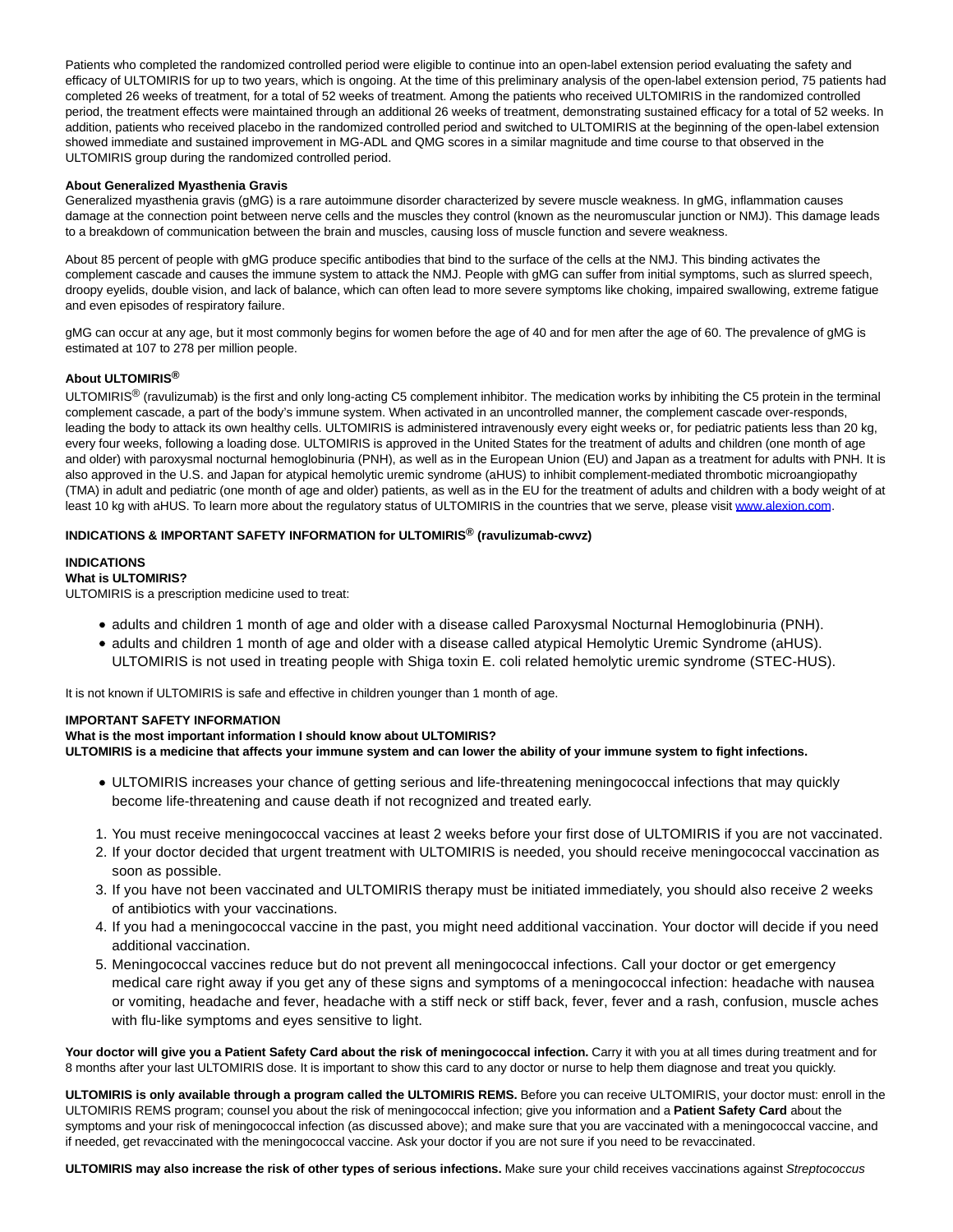Patients who completed the randomized controlled period were eligible to continue into an open-label extension period evaluating the safety and efficacy of ULTOMIRIS for up to two years, which is ongoing. At the time of this preliminary analysis of the open-label extension period, 75 patients had completed 26 weeks of treatment, for a total of 52 weeks of treatment. Among the patients who received ULTOMIRIS in the randomized controlled period, the treatment effects were maintained through an additional 26 weeks of treatment, demonstrating sustained efficacy for a total of 52 weeks. In addition, patients who received placebo in the randomized controlled period and switched to ULTOMIRIS at the beginning of the open-label extension showed immediate and sustained improvement in MG-ADL and QMG scores in a similar magnitude and time course to that observed in the ULTOMIRIS group during the randomized controlled period.

## **About Generalized Myasthenia Gravis**

Generalized myasthenia gravis (gMG) is a rare autoimmune disorder characterized by severe muscle weakness. In gMG, inflammation causes damage at the connection point between nerve cells and the muscles they control (known as the neuromuscular junction or NMJ). This damage leads to a breakdown of communication between the brain and muscles, causing loss of muscle function and severe weakness.

About 85 percent of people with gMG produce specific antibodies that bind to the surface of the cells at the NMJ. This binding activates the complement cascade and causes the immune system to attack the NMJ. People with gMG can suffer from initial symptoms, such as slurred speech, droopy eyelids, double vision, and lack of balance, which can often lead to more severe symptoms like choking, impaired swallowing, extreme fatigue and even episodes of respiratory failure.

gMG can occur at any age, but it most commonly begins for women before the age of 40 and for men after the age of 60. The prevalence of gMG is estimated at 107 to 278 per million people.

## **About ULTOMIRIS®**

ULTOMIRIS<sup>®</sup> (ravulizumab) is the first and only long-acting C5 complement inhibitor. The medication works by inhibiting the C5 protein in the terminal complement cascade, a part of the body's immune system. When activated in an uncontrolled manner, the complement cascade over-responds, leading the body to attack its own healthy cells. ULTOMIRIS is administered intravenously every eight weeks or, for pediatric patients less than 20 kg, every four weeks, following a loading dose. ULTOMIRIS is approved in the United States for the treatment of adults and children (one month of age and older) with paroxysmal nocturnal hemoglobinuria (PNH), as well as in the European Union (EU) and Japan as a treatment for adults with PNH. It is also approved in the U.S. and Japan for atypical hemolytic uremic syndrome (aHUS) to inhibit complement-mediated thrombotic microangiopathy (TMA) in adult and pediatric (one month of age and older) patients, as well as in the EU for the treatment of adults and children with a body weight of at least 10 kg with aHUS. To learn more about the regulatory status of ULTOMIRIS in the countries that we serve, please visit [www.alexion.com.](https://cts.businesswire.com/ct/CT?id=smartlink&url=http%3A%2F%2Fwww.alexion.com&esheet=52461027&newsitemid=20210715006015&lan=en-US&anchor=www.alexion.com&index=2&md5=7bf2a008e9792ac78b500dcfd7db99bc)

# **INDICATIONS & IMPORTANT SAFETY INFORMATION for ULTOMIRIS® (ravulizumab-cwvz)**

## **INDICATIONS**

## **What is ULTOMIRIS?**

ULTOMIRIS is a prescription medicine used to treat:

- adults and children 1 month of age and older with a disease called Paroxysmal Nocturnal Hemoglobinuria (PNH).
- adults and children 1 month of age and older with a disease called atypical Hemolytic Uremic Syndrome (aHUS).

ULTOMIRIS is not used in treating people with Shiga toxin E. coli related hemolytic uremic syndrome (STEC-HUS).

It is not known if ULTOMIRIS is safe and effective in children younger than 1 month of age.

## **IMPORTANT SAFETY INFORMATION**

## **What is the most important information I should know about ULTOMIRIS?**

**ULTOMIRIS is a medicine that affects your immune system and can lower the ability of your immune system to fight infections.**

- ULTOMIRIS increases your chance of getting serious and life-threatening meningococcal infections that may quickly become life-threatening and cause death if not recognized and treated early.
- 1. You must receive meningococcal vaccines at least 2 weeks before your first dose of ULTOMIRIS if you are not vaccinated.
- 2. If your doctor decided that urgent treatment with ULTOMIRIS is needed, you should receive meningococcal vaccination as soon as possible.
- If you have not been vaccinated and ULTOMIRIS therapy must be initiated immediately, you should also receive 2 weeks 3. of antibiotics with your vaccinations.
- 4. If you had a meningococcal vaccine in the past, you might need additional vaccination. Your doctor will decide if you need additional vaccination.
- 5. Meningococcal vaccines reduce but do not prevent all meningococcal infections. Call your doctor or get emergency medical care right away if you get any of these signs and symptoms of a meningococcal infection: headache with nausea or vomiting, headache and fever, headache with a stiff neck or stiff back, fever, fever and a rash, confusion, muscle aches with flu-like symptoms and eyes sensitive to light.

Your doctor will give you a Patient Safety Card about the risk of meningococcal infection. Carry it with you at all times during treatment and for 8 months after your last ULTOMIRIS dose. It is important to show this card to any doctor or nurse to help them diagnose and treat you quickly.

**ULTOMIRIS is only available through a program called the ULTOMIRIS REMS.** Before you can receive ULTOMIRIS, your doctor must: enroll in the ULTOMIRIS REMS program; counsel you about the risk of meningococcal infection; give you information and a **Patient Safety Card** about the symptoms and your risk of meningococcal infection (as discussed above); and make sure that you are vaccinated with a meningococcal vaccine, and if needed, get revaccinated with the meningococcal vaccine. Ask your doctor if you are not sure if you need to be revaccinated.

**ULTOMIRIS may also increase the risk of other types of serious infections.** Make sure your child receives vaccinations against Streptococcus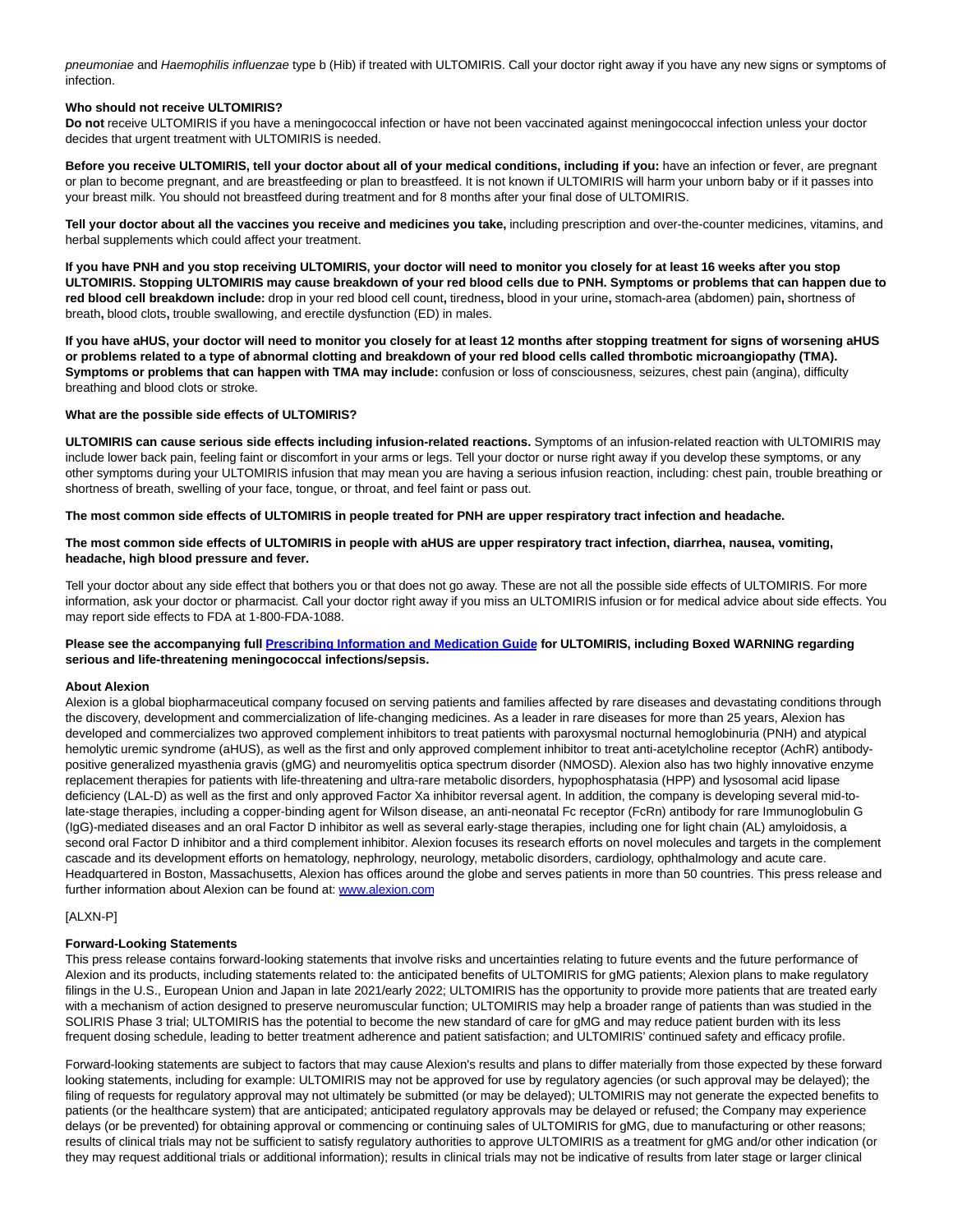pneumoniae and Haemophilis influenzae type b (Hib) if treated with ULTOMIRIS. Call your doctor right away if you have any new signs or symptoms of infection.

## **Who should not receive ULTOMIRIS?**

**Do not** receive ULTOMIRIS if you have a meningococcal infection or have not been vaccinated against meningococcal infection unless your doctor decides that urgent treatment with ULTOMIRIS is needed.

**Before you receive ULTOMIRIS, tell your doctor about all of your medical conditions, including if you:** have an infection or fever, are pregnant or plan to become pregnant, and are breastfeeding or plan to breastfeed. It is not known if ULTOMIRIS will harm your unborn baby or if it passes into your breast milk. You should not breastfeed during treatment and for 8 months after your final dose of ULTOMIRIS.

**Tell your doctor about all the vaccines you receive and medicines you take,** including prescription and over-the-counter medicines, vitamins, and herbal supplements which could affect your treatment.

**If you have PNH and you stop receiving ULTOMIRIS, your doctor will need to monitor you closely for at least 16 weeks after you stop ULTOMIRIS. Stopping ULTOMIRIS may cause breakdown of your red blood cells due to PNH. Symptoms or problems that can happen due to red blood cell breakdown include:** drop in your red blood cell count**,** tiredness**,** blood in your urine**,** stomach-area (abdomen) pain**,** shortness of breath**,** blood clots**,** trouble swallowing, and erectile dysfunction (ED) in males.

**If you have aHUS, your doctor will need to monitor you closely for at least 12 months after stopping treatment for signs of worsening aHUS or problems related to a type of abnormal clotting and breakdown of your red blood cells called thrombotic microangiopathy (TMA). Symptoms or problems that can happen with TMA may include:** confusion or loss of consciousness, seizures, chest pain (angina), difficulty breathing and blood clots or stroke.

#### **What are the possible side effects of ULTOMIRIS?**

**ULTOMIRIS can cause serious side effects including infusion-related reactions.** Symptoms of an infusion-related reaction with ULTOMIRIS may include lower back pain, feeling faint or discomfort in your arms or legs. Tell your doctor or nurse right away if you develop these symptoms, or any other symptoms during your ULTOMIRIS infusion that may mean you are having a serious infusion reaction, including: chest pain, trouble breathing or shortness of breath, swelling of your face, tongue, or throat, and feel faint or pass out.

#### **The most common side effects of ULTOMIRIS in people treated for PNH are upper respiratory tract infection and headache.**

**The most common side effects of ULTOMIRIS in people with aHUS are upper respiratory tract infection, diarrhea, nausea, vomiting, headache, high blood pressure and fever.**

Tell your doctor about any side effect that bothers you or that does not go away. These are not all the possible side effects of ULTOMIRIS. For more information, ask your doctor or pharmacist. Call your doctor right away if you miss an ULTOMIRIS infusion or for medical advice about side effects. You may report side effects to FDA at 1-800-FDA-1088.

#### **Please see the accompanying full [Prescribing Information and Medication Guide f](https://cts.businesswire.com/ct/CT?id=smartlink&url=https%3A%2F%2Falexion.com%2FDocuments%2Fultomiris_uspi&esheet=52461027&newsitemid=20210715006015&lan=en-US&anchor=Prescribing+Information+and+Medication+Guide&index=3&md5=c7993ceda69badad05fde679089b118a)or ULTOMIRIS, including Boxed WARNING regarding serious and life-threatening meningococcal infections/sepsis.**

#### **About Alexion**

Alexion is a global biopharmaceutical company focused on serving patients and families affected by rare diseases and devastating conditions through the discovery, development and commercialization of life-changing medicines. As a leader in rare diseases for more than 25 years, Alexion has developed and commercializes two approved complement inhibitors to treat patients with paroxysmal nocturnal hemoglobinuria (PNH) and atypical hemolytic uremic syndrome (aHUS), as well as the first and only approved complement inhibitor to treat anti-acetylcholine receptor (AchR) antibodypositive generalized myasthenia gravis (gMG) and neuromyelitis optica spectrum disorder (NMOSD). Alexion also has two highly innovative enzyme replacement therapies for patients with life-threatening and ultra-rare metabolic disorders, hypophosphatasia (HPP) and lysosomal acid lipase deficiency (LAL-D) as well as the first and only approved Factor Xa inhibitor reversal agent. In addition, the company is developing several mid-tolate-stage therapies, including a copper-binding agent for Wilson disease, an anti-neonatal Fc receptor (FcRn) antibody for rare Immunoglobulin G (IgG)-mediated diseases and an oral Factor D inhibitor as well as several early-stage therapies, including one for light chain (AL) amyloidosis, a second oral Factor D inhibitor and a third complement inhibitor. Alexion focuses its research efforts on novel molecules and targets in the complement cascade and its development efforts on hematology, nephrology, neurology, metabolic disorders, cardiology, ophthalmology and acute care. Headquartered in Boston, Massachusetts, Alexion has offices around the globe and serves patients in more than 50 countries. This press release and further information about Alexion can be found at: [www.alexion.com](https://cts.businesswire.com/ct/CT?id=smartlink&url=http%3A%2F%2Fwww.alexion.com&esheet=52461027&newsitemid=20210715006015&lan=en-US&anchor=www.alexion.com&index=4&md5=7b6503d112cf46f60fb7bc2b5448d3ed)

#### [ALXN-P]

#### **Forward-Looking Statements**

This press release contains forward-looking statements that involve risks and uncertainties relating to future events and the future performance of Alexion and its products, including statements related to: the anticipated benefits of ULTOMIRIS for gMG patients; Alexion plans to make regulatory filings in the U.S., European Union and Japan in late 2021/early 2022; ULTOMIRIS has the opportunity to provide more patients that are treated early with a mechanism of action designed to preserve neuromuscular function; ULTOMIRIS may help a broader range of patients than was studied in the SOLIRIS Phase 3 trial; ULTOMIRIS has the potential to become the new standard of care for gMG and may reduce patient burden with its less frequent dosing schedule, leading to better treatment adherence and patient satisfaction; and ULTOMIRIS' continued safety and efficacy profile.

Forward-looking statements are subject to factors that may cause Alexion's results and plans to differ materially from those expected by these forward looking statements, including for example: ULTOMIRIS may not be approved for use by regulatory agencies (or such approval may be delayed); the filing of requests for regulatory approval may not ultimately be submitted (or may be delayed); ULTOMIRIS may not generate the expected benefits to patients (or the healthcare system) that are anticipated; anticipated regulatory approvals may be delayed or refused; the Company may experience delays (or be prevented) for obtaining approval or commencing or continuing sales of ULTOMIRIS for gMG, due to manufacturing or other reasons; results of clinical trials may not be sufficient to satisfy regulatory authorities to approve ULTOMIRIS as a treatment for gMG and/or other indication (or they may request additional trials or additional information); results in clinical trials may not be indicative of results from later stage or larger clinical